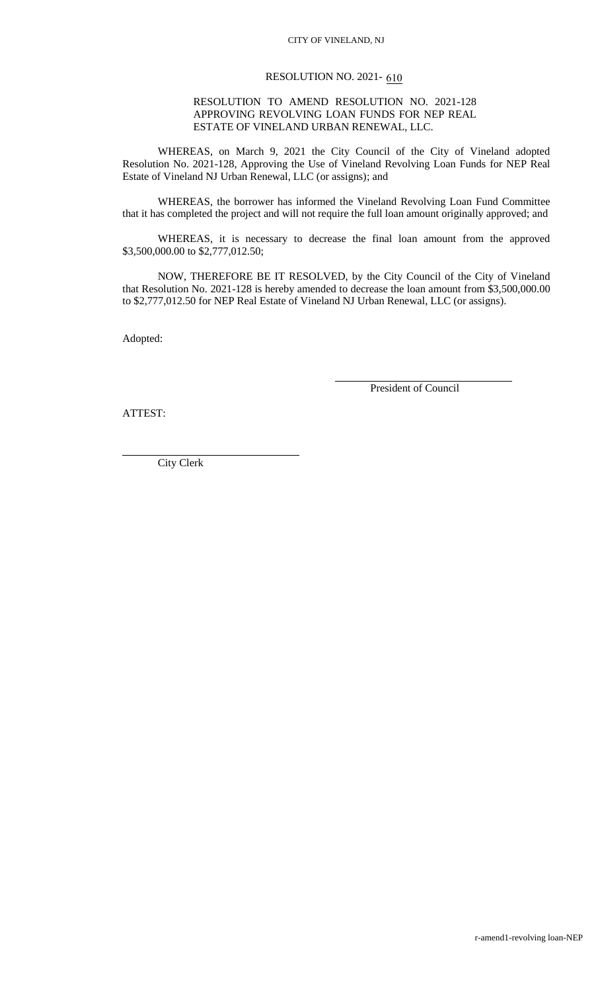## RESOLUTION NO. 2021- 610

## RESOLUTION TO AMEND RESOLUTION NO. 2021-128 APPROVING REVOLVING LOAN FUNDS FOR NEP REAL ESTATE OF VINELAND URBAN RENEWAL, LLC.

WHEREAS, on March 9, 2021 the City Council of the City of Vineland adopted Resolution No. 2021-128, Approving the Use of Vineland Revolving Loan Funds for NEP Real Estate of Vineland NJ Urban Renewal, LLC (or assigns); and

WHEREAS, the borrower has informed the Vineland Revolving Loan Fund Committee that it has completed the project and will not require the full loan amount originally approved; and

WHEREAS, it is necessary to decrease the final loan amount from the approved \$3,500,000.00 to \$2,777,012.50;

NOW, THEREFORE BE IT RESOLVED, by the City Council of the City of Vineland that Resolution No. 2021-128 is hereby amended to decrease the loan amount from \$3,500,000.00 to \$2,777,012.50 for NEP Real Estate of Vineland NJ Urban Renewal, LLC (or assigns).

Adopted:

President of Council

ATTEST:

City Clerk